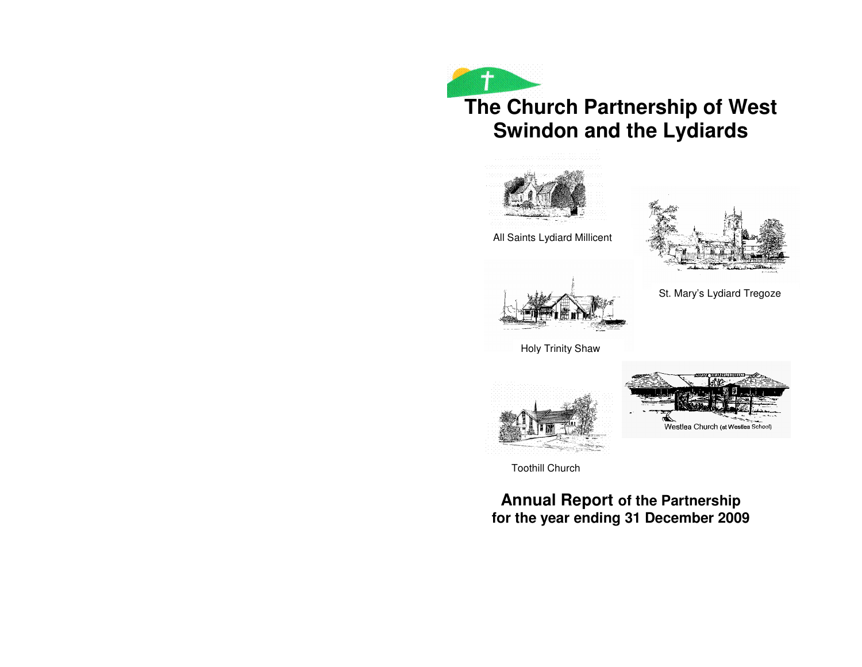# **The Church Partnership of West Swindon and the Lydiards**



All Saints Lydiard Millicent

St. Mary's Lydiard Tregoze







Toothill Church

**Annual Report of the Partnership for the year ending 31 December 2009**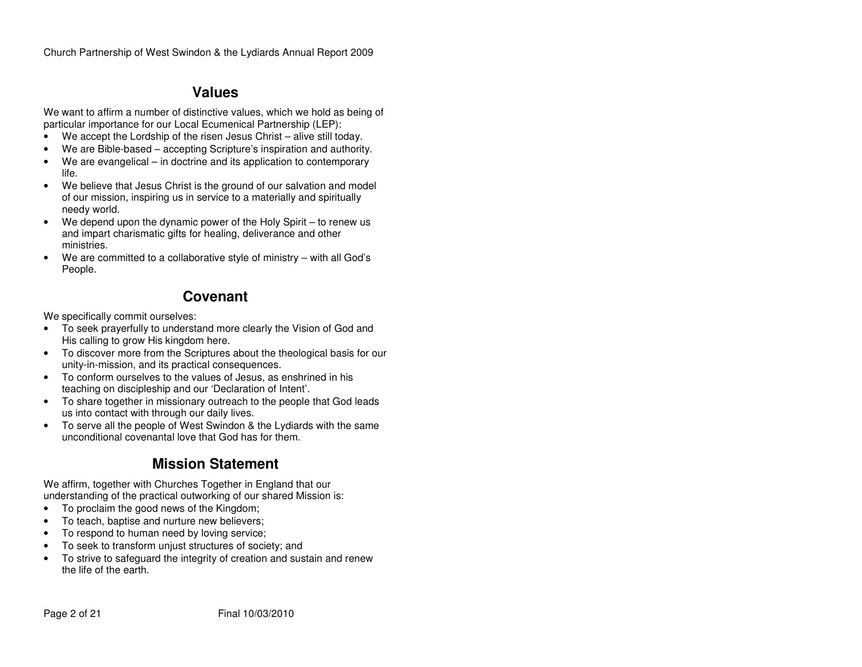# **Values**

We want to affirm a number of distinctive values, which we hold as being of particular importance for our Local Ecumenical Partnership (LEP):

- We accept the Lordship of the risen Jesus Christ alive still today.
- We are Bible-based accepting Scripture's inspiration and authority.
- We are evangelical in doctrine and its application to contemporary life.
- We believe that Jesus Christ is the ground of our salvation and model of our mission, inspiring us in service to a materially and spiritually needy world.
- We depend upon the dynamic power of the Holy Spirit to renew us and impart charismatic gifts for healing, deliverance and other ministries.
- We are committed to a collaborative style of ministry with all God's People.

# **Covenant**

We specifically commit ourselves:

- To seek prayerfully to understand more clearly the Vision of God and His calling to grow His kingdom here.
- To discover more from the Scriptures about the theological basis for our unity-in-mission, and its practical consequences.
- To conform ourselves to the values of Jesus, as enshrined in his teaching on discipleship and our 'Declaration of Intent'.
- To share together in missionary outreach to the people that God leads us into contact with through our daily lives.
- To serve all the people of West Swindon & the Lydiards with the same unconditional covenantal love that God has for them.

# **Mission Statement**

We affirm, together with Churches Together in England that our understanding of the practical outworking of our shared Mission is:

- To proclaim the good news of the Kingdom;
- To teach, baptise and nurture new believers;
- To respond to human need by loving service;
- To seek to transform unjust structures of society; and
- To strive to safeguard the integrity of creation and sustain and renew the life of the earth.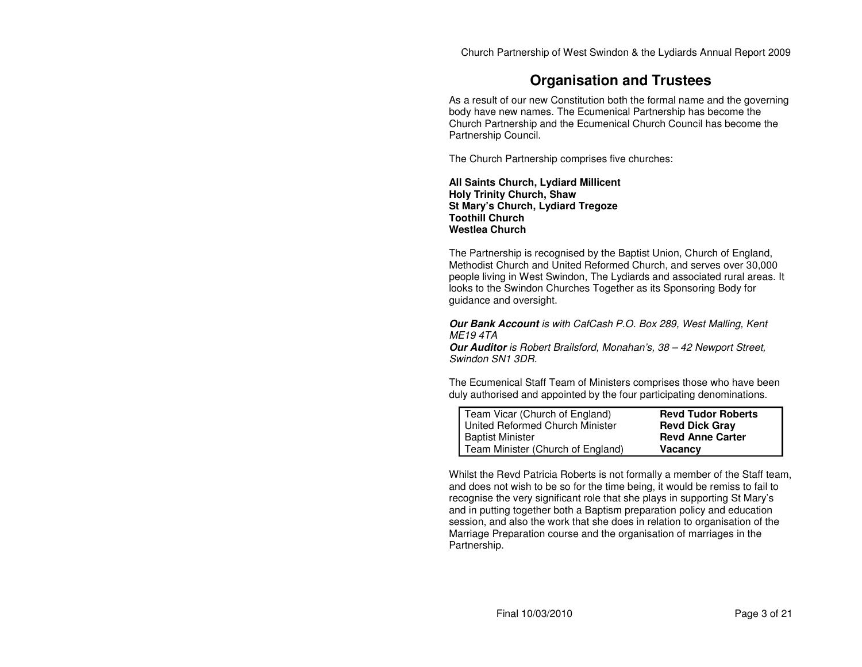# **Organisation and Trustees**

As a result of our new Constitution both the formal name and the governing body have new names. The Ecumenical Partnership has become the Church Partnership and the Ecumenical Church Council has become the Partnership Council.

The Church Partnership comprises five churches:

**All Saints Church, Lydiard Millicent Holy Trinity Church, Shaw St Mary's Church, Lydiard Tregoze Toothill Church Westlea Church** 

The Partnership is recognised by the Baptist Union, Church of England, Methodist Church and United Reformed Church, and serves over 30,000 people living in West Swindon, The Lydiards and associated rural areas. It looks to the Swindon Churches Together as its Sponsoring Body for guidance and oversight.

**Our Bank Account** is with CafCash P.O. Box 289, West Malling, Kent ME19 4TA

 **Our Auditor** is Robert Brailsford, Monahan's, 38 – 42 Newport Street, Swindon SN1 3DR.

The Ecumenical Staff Team of Ministers comprises those who have been duly authorised and appointed by the four participating denominations.

| Team Vicar (Church of England)    | <b>Revd Tudor Roberts</b> |
|-----------------------------------|---------------------------|
| United Reformed Church Minister   | <b>Revd Dick Gray</b>     |
| <b>Baptist Minister</b>           | <b>Revd Anne Carter</b>   |
| Team Minister (Church of England) | <b>Vacancy</b>            |

Whilst the Revd Patricia Roberts is not formally a member of the Staff team, and does not wish to be so for the time being, it would be remiss to fail to recognise the very significant role that she plays in supporting St Mary's and in putting together both a Baptism preparation policy and education session, and also the work that she does in relation to organisation of the Marriage Preparation course and the organisation of marriages in the Partnership.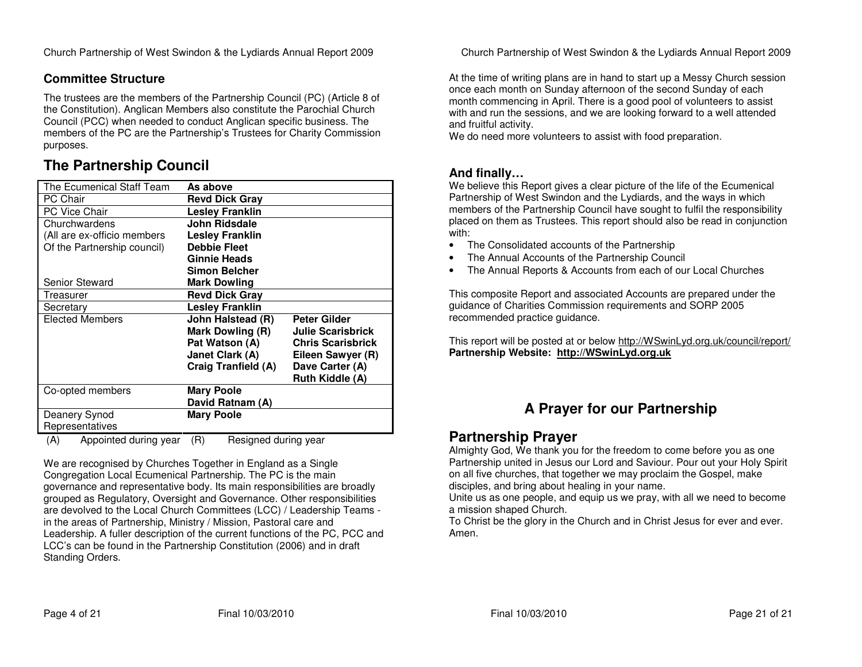### **Committee Structure**

The trustees are the members of the Partnership Council (PC) (Article 8 of the Constitution). Anglican Members also constitute the Parochial Church Council (PCC) when needed to conduct Anglican specific business. The members of the PC are the Partnership's Trustees for Charity Commission purposes.

# **The Partnership Council**

| The Ecumenical Staff Team   | As above                            |                          |
|-----------------------------|-------------------------------------|--------------------------|
| <b>PC Chair</b>             | <b>Revd Dick Gray</b>               |                          |
| <b>PC Vice Chair</b>        | <b>Lesley Franklin</b>              |                          |
| Churchwardens               | John Ridsdale                       |                          |
| (All are ex-officio members | <b>Lesley Franklin</b>              |                          |
| Of the Partnership council) | <b>Debbie Fleet</b>                 |                          |
|                             | Ginnie Heads                        |                          |
|                             | Simon Belcher                       |                          |
| <b>Senior Steward</b>       | <b>Mark Dowling</b>                 |                          |
| Treasurer                   | <b>Revd Dick Gray</b>               |                          |
| Secretary                   | <b>Lesley Franklin</b>              |                          |
| <b>Elected Members</b>      | John Halstead (R)                   | <b>Peter Gilder</b>      |
|                             | Mark Dowling (R)                    | <b>Julie Scarisbrick</b> |
|                             | Pat Watson (A)                      | <b>Chris Scarisbrick</b> |
|                             | Janet Clark (A)                     | Eileen Sawyer (R)        |
|                             | Craig Tranfield (A)                 | Dave Carter (A)          |
|                             |                                     | <b>Ruth Kiddle (A)</b>   |
| Co-opted members            | <b>Mary Poole</b>                   |                          |
|                             | David Ratnam (A)                    |                          |
| Deanery Synod               | <b>Mary Poole</b>                   |                          |
| Representatives             |                                     |                          |
|                             | $\sqrt{D}$<br>Desianael durina waar |                          |

(A) Appointed during year (R) Resigned during year

We are recognised by Churches Together in England as a Single Congregation Local Ecumenical Partnership. The PC is the main governance and representative body. Its main responsibilities are broadly grouped as Regulatory, Oversight and Governance. Other responsibilities are devolved to the Local Church Committees (LCC) / Leadership Teams in the areas of Partnership, Ministry / Mission, Pastoral care and Leadership. A fuller description of the current functions of the PC, PCC and LCC's can be found in the Partnership Constitution (2006) and in draft Standing Orders.

Church Partnership of West Swindon & the Lydiards Annual Report 2009

At the time of writing plans are in hand to start up a Messy Church session once each month on Sunday afternoon of the second Sunday of each month commencing in April. There is a good pool of volunteers to assist with and run the sessions, and we are looking forward to a well attended and fruitful activity.

We do need more volunteers to assist with food preparation.

### **And finally…**

 We believe this Report gives a clear picture of the life of the Ecumenical Partnership of West Swindon and the Lydiards, and the ways in which members of the Partnership Council have sought to fulfil the responsibility placed on them as Trustees. This report should also be read in conjunction with:

- The Consolidated accounts of the Partnership
- The Annual Accounts of the Partnership Council
- The Annual Reports & Accounts from each of our Local Churches

This composite Report and associated Accounts are prepared under the guidance of Charities Commission requirements and SORP 2005 recommended practice guidance.

This report will be posted at or below http://WSwinLyd.org.uk/council/report/**Partnership Website: http://WSwinLyd.org.uk**

# **A Prayer for our Partnership**

## **Partnership Prayer**

 Almighty God, We thank you for the freedom to come before you as one Partnership united in Jesus our Lord and Saviour. Pour out your Holy Spirit on all five churches, that together we may proclaim the Gospel, make disciples, and bring about healing in your name.

 Unite us as one people, and equip us we pray, with all we need to become a mission shaped Church.

 To Christ be the glory in the Church and in Christ Jesus for ever and ever. Amen.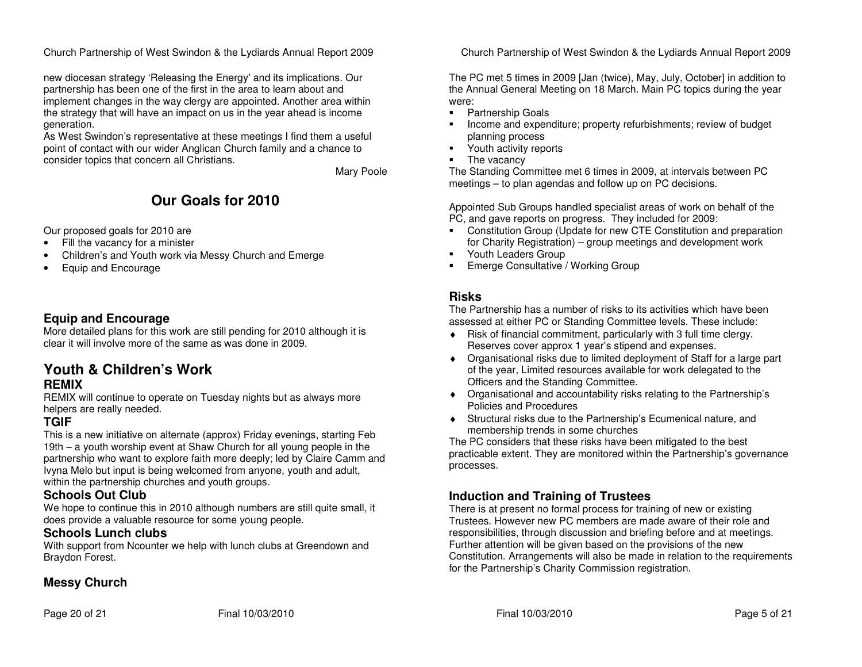new diocesan strategy 'Releasing the Energy' and its implications. Our partnership has been one of the first in the area to learn about and implement changes in the way clergy are appointed. Another area within the strategy that will have an impact on us in the year ahead is income generation.

 As West Swindon's representative at these meetings I find them a useful point of contact with our wider Anglican Church family and a chance to consider topics that concern all Christians.

Mary Poole

# **Our Goals for 2010**

Our proposed goals for 2010 are

- Fill the vacancy for a minister
- Children's and Youth work via Messy Church and Emerge
- Equip and Encourage

### **Equip and Encourage**

 More detailed plans for this work are still pending for 2010 although it is clear it will involve more of the same as was done in 2009.

### **Youth & Children's Work REMIX**

 REMIX will continue to operate on Tuesday nights but as always more helpers are really needed.

### **TGIF**

 This is a new initiative on alternate (approx) Friday evenings, starting Feb 19th – a youth worship event at Shaw Church for all young people in the partnership who want to explore faith more deeply; led by Claire Camm and Ivyna Melo but input is being welcomed from anyone, youth and adult, within the partnership churches and youth groups.

### **Schools Out Club**

 We hope to continue this in 2010 although numbers are still quite small, it does provide a valuable resource for some young people.

### **Schools Lunch clubs**

 With support from Ncounter we help with lunch clubs at Greendown and Braydon Forest.

### **Messy Church**

Church Partnership of West Swindon & the Lydiards Annual Report 2009

The PC met 5 times in 2009 [Jan (twice), May, July, October] in addition to the Annual General Meeting on 18 March. Main PC topics during the year were:

- **Partnership Goals**
- **Income and expenditure; property refurbishments; review of budget** planning process
- **Parthactivity reports**
- The vacancy

 The Standing Committee met 6 times in 2009, at intervals between PC meetings – to plan agendas and follow up on PC decisions.

Appointed Sub Groups handled specialist areas of work on behalf of the PC, and gave reports on progress. They included for 2009:

- **Constitution Group (Update for new CTE Constitution and preparation** for Charity Registration) – group meetings and development work
- **Youth Leaders Group**
- **Emerge Consultative / Working Group**

### **Risks**

 The Partnership has a number of risks to its activities which have been assessed at either PC or Standing Committee levels. These include:

- ♦ Risk of financial commitment, particularly with 3 full time clergy. Reserves cover approx 1 year's stipend and expenses.
- ♦ Organisational risks due to limited deployment of Staff for a large part of the year, Limited resources available for work delegated to the Officers and the Standing Committee.
- ♦ Organisational and accountability risks relating to the Partnership's Policies and Procedures
- ♦ Structural risks due to the Partnership's Ecumenical nature, and membership trends in some churches

 The PC considers that these risks have been mitigated to the best practicable extent. They are monitored within the Partnership's governance processes.

### **Induction and Training of Trustees**

 There is at present no formal process for training of new or existing Trustees. However new PC members are made aware of their role and responsibilities, through discussion and briefing before and at meetings. Further attention will be given based on the provisions of the new Constitution. Arrangements will also be made in relation to the requirements for the Partnership's Charity Commission registration.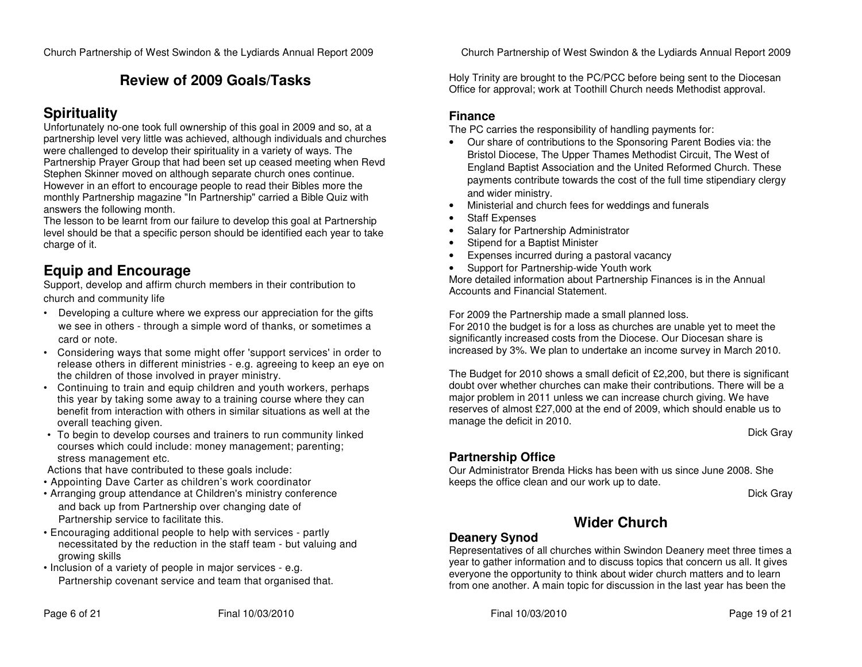# **Review of 2009 Goals/Tasks**

# **Spirituality**

 Unfortunately no-one took full ownership of this goal in 2009 and so, at a partnership level very little was achieved, although individuals and churches were challenged to develop their spirituality in a variety of ways. The Partnership Prayer Group that had been set up ceased meeting when Revd Stephen Skinner moved on although separate church ones continue. However in an effort to encourage people to read their Bibles more the monthly Partnership magazine "In Partnership" carried a Bible Quiz with answers the following month.

 The lesson to be learnt from our failure to develop this goal at Partnership level should be that a specific person should be identified each year to take charge of it.

# **Equip and Encourage**

 Support, develop and affirm church members in their contribution to church and community life

- Developing a culture where we express our appreciation for the gifts we see in others - through a simple word of thanks, or sometimes a card or note.
- Considering ways that some might offer 'support services' in order to release others in different ministries - e.g. agreeing to keep an eye on the children of those involved in prayer ministry.
- Continuing to train and equip children and youth workers, perhaps this year by taking some away to a training course where they can benefit from interaction with others in similar situations as well at the overall teaching given.
- To begin to develop courses and trainers to run community linked courses which could include: money management; parenting; stress management etc.
- Actions that have contributed to these goals include:
- Appointing Dave Carter as children's work coordinator
- Arranging group attendance at Children's ministry conference and back up from Partnership over changing date of Partnership service to facilitate this.
- Encouraging additional people to help with services partly necessitated by the reduction in the staff team - but valuing and growing skills
- Inclusion of a variety of people in major services e.g. Partnership covenant service and team that organised that.

Church Partnership of West Swindon & the Lydiards Annual Report 2009

Holy Trinity are brought to the PC/PCC before being sent to the Diocesan Office for approval; work at Toothill Church needs Methodist approval.

### **Finance**

The PC carries the responsibility of handling payments for:

- Our share of contributions to the Sponsoring Parent Bodies via: the Bristol Diocese, The Upper Thames Methodist Circuit, The West of England Baptist Association and the United Reformed Church. These payments contribute towards the cost of the full time stipendiary clergy and wider ministry.
- Ministerial and church fees for weddings and funerals
- Staff Expenses
- Salary for Partnership Administrator
- Stipend for a Baptist Minister
- Expenses incurred during a pastoral vacancy
- Support for Partnership-wide Youth work

 More detailed information about Partnership Finances is in the Annual Accounts and Financial Statement.

For 2009 the Partnership made a small planned loss.

 For 2010 the budget is for a loss as churches are unable yet to meet the significantly increased costs from the Diocese. Our Diocesan share is increased by 3%. We plan to undertake an income survey in March 2010.

The Budget for 2010 shows a small deficit of £2,200, but there is significant doubt over whether churches can make their contributions. There will be a major problem in 2011 unless we can increase church giving. We have reserves of almost £27,000 at the end of 2009, which should enable us to manage the deficit in 2010.

Dick Gray

### **Partnership Office**

 Our Administrator Brenda Hicks has been with us since June 2008. She keeps the office clean and our work up to date.

Dick Gray

# **Wider Church**

### **Deanery Synod**

 Representatives of all churches within Swindon Deanery meet three times a year to gather information and to discuss topics that concern us all. It gives everyone the opportunity to think about wider church matters and to learn from one another. A main topic for discussion in the last year has been the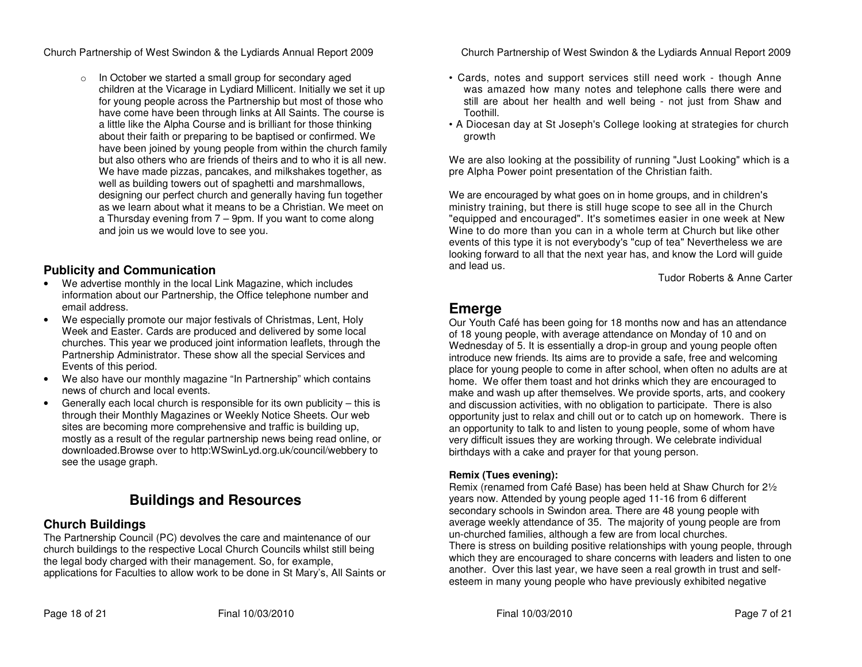o In October we started a small group for secondary aged children at the Vicarage in Lydiard Millicent. Initially we set it up for young people across the Partnership but most of those who have come have been through links at All Saints. The course is a little like the Alpha Course and is brilliant for those thinking about their faith or preparing to be baptised or confirmed. We have been joined by young people from within the church family but also others who are friends of theirs and to who it is all new. We have made pizzas, pancakes, and milkshakes together, as well as building towers out of spaghetti and marshmallows, designing our perfect church and generally having fun together as we learn about what it means to be a Christian. We meet on a Thursday evening from 7 – 9pm. If you want to come along and join us we would love to see you.

### **Publicity and Communication**

- We advertise monthly in the local Link Magazine, which includes information about our Partnership, the Office telephone number and email address.
- We especially promote our major festivals of Christmas, Lent, Holy Week and Easter. Cards are produced and delivered by some local churches. This year we produced joint information leaflets, through the Partnership Administrator. These show all the special Services and Events of this period.
- We also have our monthly magazine "In Partnership" which contains news of church and local events.
- Generally each local church is responsible for its own publicity this is through their Monthly Magazines or Weekly Notice Sheets. Our web sites are becoming more comprehensive and traffic is building up, mostly as a result of the regular partnership news being read online, or downloaded.Browse over to http:WSwinLyd.org.uk/council/webbery to see the usage graph.

# **Buildings and Resources**

### **Church Buildings**

 The Partnership Council (PC) devolves the care and maintenance of our church buildings to the respective Local Church Councils whilst still being the legal body charged with their management. So, for example, applications for Faculties to allow work to be done in St Mary's, All Saints or Church Partnership of West Swindon & the Lydiards Annual Report 2009

- Cards, notes and support services still need work though Anne was amazed how many notes and telephone calls there were and still are about her health and well being - not just from Shaw and Toothill.
- A Diocesan day at St Joseph's College looking at strategies for church growth

We are also looking at the possibility of running "Just Looking" which is a pre Alpha Power point presentation of the Christian faith.

We are encouraged by what goes on in home groups, and in children's ministry training, but there is still huge scope to see all in the Church "equipped and encouraged". It's sometimes easier in one week at New Wine to do more than you can in a whole term at Church but like other events of this type it is not everybody's "cup of tea" Nevertheless we are looking forward to all that the next year has, and know the Lord will guide and lead us.

Tudor Roberts & Anne Carter

## **Emerge**

 Our Youth Café has been going for 18 months now and has an attendance of 18 young people, with average attendance on Monday of 10 and on Wednesday of 5. It is essentially a drop-in group and young people often introduce new friends. Its aims are to provide a safe, free and welcoming place for young people to come in after school, when often no adults are at home. We offer them toast and hot drinks which they are encouraged to make and wash up after themselves. We provide sports, arts, and cookery and discussion activities, with no obligation to participate. There is also opportunity just to relax and chill out or to catch up on homework. There is an opportunity to talk to and listen to young people, some of whom have very difficult issues they are working through. We celebrate individual birthdays with a cake and prayer for that young person.

#### **Remix (Tues evening):**

 Remix (renamed from Café Base) has been held at Shaw Church for 2½ years now. Attended by young people aged 11-16 from 6 different secondary schools in Swindon area. There are 48 young people with average weekly attendance of 35. The majority of young people are from un-churched families, although a few are from local churches. There is stress on building positive relationships with young people, through which they are encouraged to share concerns with leaders and listen to one another. Over this last year, we have seen a real growth in trust and selfesteem in many young people who have previously exhibited negative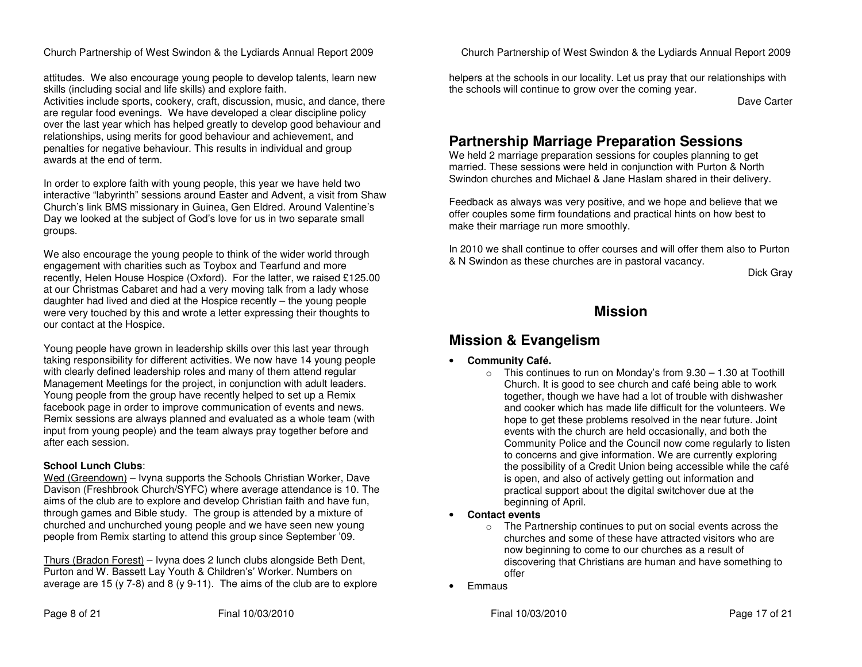attitudes. We also encourage young people to develop talents, learn new skills (including social and life skills) and explore faith.

 Activities include sports, cookery, craft, discussion, music, and dance, there are regular food evenings. We have developed a clear discipline policy over the last year which has helped greatly to develop good behaviour and relationships, using merits for good behaviour and achievement, and penalties for negative behaviour. This results in individual and group awards at the end of term.

In order to explore faith with young people, this year we have held two interactive "labyrinth" sessions around Easter and Advent, a visit from Shaw Church's link BMS missionary in Guinea, Gen Eldred. Around Valentine's Day we looked at the subject of God's love for us in two separate small groups.

We also encourage the young people to think of the wider world through engagement with charities such as Toybox and Tearfund and more recently, Helen House Hospice (Oxford). For the latter, we raised £125.00 at our Christmas Cabaret and had a very moving talk from a lady whose daughter had lived and died at the Hospice recently – the young people were very touched by this and wrote a letter expressing their thoughts to our contact at the Hospice.

Young people have grown in leadership skills over this last year through taking responsibility for different activities. We now have 14 young people with clearly defined leadership roles and many of them attend regular Management Meetings for the project, in conjunction with adult leaders. Young people from the group have recently helped to set up a Remix facebook page in order to improve communication of events and news. Remix sessions are always planned and evaluated as a whole team (with input from young people) and the team always pray together before and after each session.

#### **School Lunch Clubs**:

Wed (Greendown) - Ivyna supports the Schools Christian Worker, Dave Davison (Freshbrook Church/SYFC) where average attendance is 10. The aims of the club are to explore and develop Christian faith and have fun, through games and Bible study. The group is attended by a mixture of churched and unchurched young people and we have seen new young people from Remix starting to attend this group since September '09.

Thurs (Bradon Forest) – Ivyna does 2 lunch clubs alongside Beth Dent, Purton and W. Bassett Lay Youth & Children's' Worker. Numbers on average are 15 (y 7-8) and 8 (y 9-11). The aims of the club are to explore Church Partnership of West Swindon & the Lydiards Annual Report 2009

helpers at the schools in our locality. Let us pray that our relationships with the schools will continue to grow over the coming year.

Dave Carter

# **Partnership Marriage Preparation Sessions**

 We held 2 marriage preparation sessions for couples planning to get married. These sessions were held in conjunction with Purton & North Swindon churches and Michael & Jane Haslam shared in their delivery.

Feedback as always was very positive, and we hope and believe that we offer couples some firm foundations and practical hints on how best to make their marriage run more smoothly.

In 2010 we shall continue to offer courses and will offer them also to Purton & N Swindon as these churches are in pastoral vacancy.

Dick Gray

# **Mission**

# **Mission & Evangelism**

- • **Community Café.** 
	- $\circ$  This continues to run on Monday's from 9.30 1.30 at Toothill Church. It is good to see church and café being able to work together, though we have had a lot of trouble with dishwasher and cooker which has made life difficult for the volunteers. We hope to get these problems resolved in the near future. Joint events with the church are held occasionally, and both the Community Police and the Council now come regularly to listen to concerns and give information. We are currently exploring the possibility of a Credit Union being accessible while the café is open, and also of actively getting out information and practical support about the digital switchover due at the beginning of April.
- **Contact events** 
	- o The Partnership continues to put on social events across the churches and some of these have attracted visitors who are now beginning to come to our churches as a result of discovering that Christians are human and have something to offer
- **Emmaus**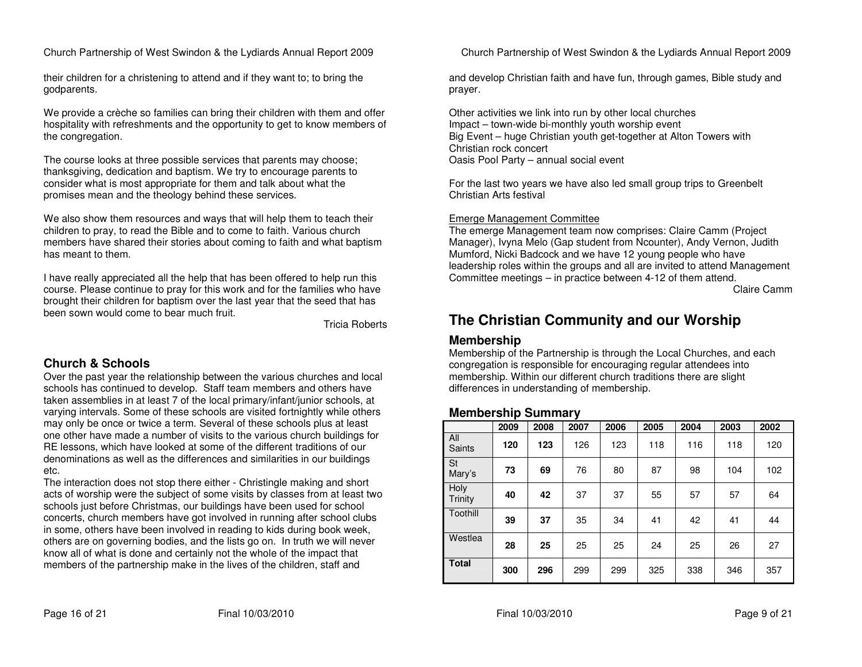their children for a christening to attend and if they want to; to bring the godparents.

We provide a crèche so families can bring their children with them and offer hospitality with refreshments and the opportunity to get to know members of the congregation.

The course looks at three possible services that parents may choose; thanksgiving, dedication and baptism. We try to encourage parents to consider what is most appropriate for them and talk about what the promises mean and the theology behind these services.

We also show them resources and ways that will help them to teach their children to pray, to read the Bible and to come to faith. Various church members have shared their stories about coming to faith and what baptism has meant to them.

I have really appreciated all the help that has been offered to help run this course. Please continue to pray for this work and for the families who have brought their children for baptism over the last year that the seed that has been sown would come to bear much fruit.

Tricia Roberts

### **Church & Schools**

 Over the past year the relationship between the various churches and local schools has continued to develop. Staff team members and others have taken assemblies in at least 7 of the local primary/infant/junior schools, at varying intervals. Some of these schools are visited fortnightly while others may only be once or twice a term. Several of these schools plus at least one other have made a number of visits to the various church buildings for RE lessons, which have looked at some of the different traditions of our denominations as well as the differences and similarities in our buildings etc.

 The interaction does not stop there either - Christingle making and short acts of worship were the subject of some visits by classes from at least two schools just before Christmas, our buildings have been used for school concerts, church members have got involved in running after school clubs in some, others have been involved in reading to kids during book week, others are on governing bodies, and the lists go on. In truth we will never know all of what is done and certainly not the whole of the impact that members of the partnership make in the lives of the children, staff and

Church Partnership of West Swindon & the Lydiards Annual Report 2009

and develop Christian faith and have fun, through games, Bible study and prayer.

Other activities we link into run by other local churches Impact – town-wide bi-monthly youth worship event Big Event – huge Christian youth get-together at Alton Towers with Christian rock concert Oasis Pool Party – annual social event

For the last two years we have also led small group trips to Greenbelt Christian Arts festival

#### Emerge Management Committee

 The emerge Management team now comprises: Claire Camm (Project Manager), Ivyna Melo (Gap student from Ncounter), Andy Vernon, Judith Mumford, Nicki Badcock and we have 12 young people who have leadership roles within the groups and all are invited to attend Management Committee meetings – in practice between 4-12 of them attend. Claire Camm

# **The Christian Community and our Worship**

### **Membership**

 Membership of the Partnership is through the Local Churches, and each congregation is responsible for encouraging regular attendees into membership. Within our different church traditions there are slight differences in understanding of membership.

### **Membership Summary**

|                     | 2009 | 2008 | 2007 | 2006 | 2005 | 2004 | 2003 | 2002 |
|---------------------|------|------|------|------|------|------|------|------|
| All<br>Saints       | 120  | 123  | 126  | 123  | 118  | 116  | 118  | 120  |
| <b>St</b><br>Mary's | 73   | 69   | 76   | 80   | 87   | 98   | 104  | 102  |
| Holy<br>Trinity     | 40   | 42   | 37   | 37   | 55   | 57   | 57   | 64   |
| Toothill            | 39   | 37   | 35   | 34   | 41   | 42   | 41   | 44   |
| Westlea             | 28   | 25   | 25   | 25   | 24   | 25   | 26   | 27   |
| <b>Total</b>        | 300  | 296  | 299  | 299  | 325  | 338  | 346  | 357  |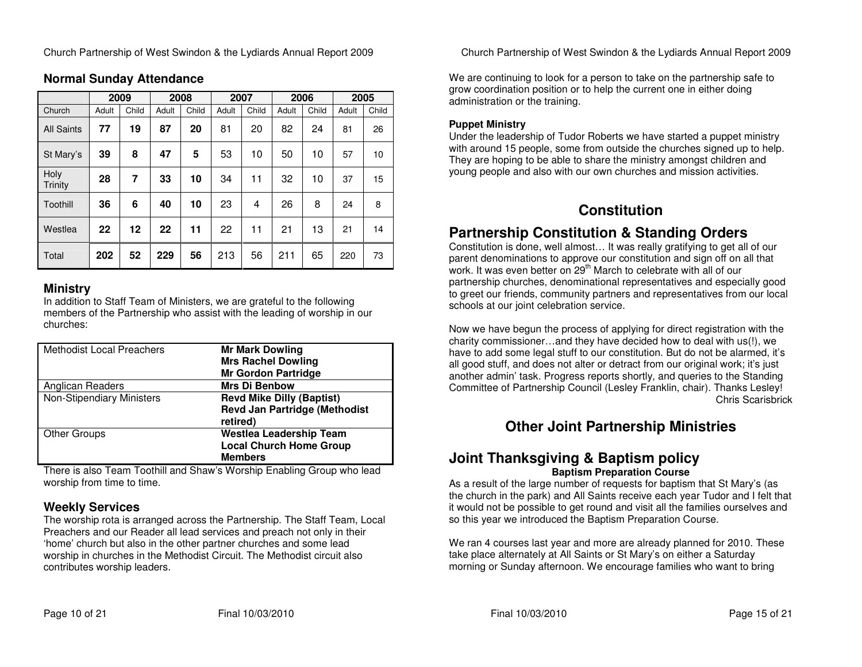|                   | 2009  |       | 2008  |       | 2007  |       | 2006  |       | 2005  |       |
|-------------------|-------|-------|-------|-------|-------|-------|-------|-------|-------|-------|
| Church            | Adult | Child | Adult | Child | Adult | Child | Adult | Child | Adult | Child |
| <b>All Saints</b> | 77    | 19    | 87    | 20    | 81    | 20    | 82    | 24    | 81    | 26    |
| St Mary's         | 39    | 8     | 47    | 5     | 53    | 10    | 50    | 10    | 57    | 10    |
| Holy<br>Trinity   | 28    | 7     | 33    | 10    | 34    | 11    | 32    | 10    | 37    | 15    |
| Toothill          | 36    | 6     | 40    | 10    | 23    | 4     | 26    | 8     | 24    | 8     |
| Westlea           | 22    | 12    | 22    | 11    | 22    | 11    | 21    | 13    | 21    | 14    |
| Total             | 202   | 52    | 229   | 56    | 213   | 56    | 211   | 65    | 220   | 73    |

### **Normal Sunday Attendance**

#### **Ministry**

 In addition to Staff Team of Ministers, we are grateful to the following members of the Partnership who assist with the leading of worship in our churches:

| <b>Methodist Local Preachers</b> | <b>Mr Mark Dowling</b>               |
|----------------------------------|--------------------------------------|
|                                  | <b>Mrs Rachel Dowling</b>            |
|                                  | <b>Mr Gordon Partridge</b>           |
| Anglican Readers                 | <b>Mrs Di Benbow</b>                 |
| <b>Non-Stipendiary Ministers</b> | <b>Revd Mike Dilly (Baptist)</b>     |
|                                  | <b>Revd Jan Partridge (Methodist</b> |
|                                  | retired)                             |
| <b>Other Groups</b>              | <b>Westlea Leadership Team</b>       |
|                                  | <b>Local Church Home Group</b>       |
|                                  | <b>Members</b>                       |

There is also Team Toothill and Shaw's Worship Enabling Group who lead worship from time to time.

### **Weekly Services**

 The worship rota is arranged across the Partnership. The Staff Team, Local Preachers and our Reader all lead services and preach not only in their 'home' church but also in the other partner churches and some lead worship in churches in the Methodist Circuit. The Methodist circuit also contributes worship leaders.

Church Partnership of West Swindon & the Lydiards Annual Report 2009

We are continuing to look for a person to take on the partnership safe to grow coordination position or to help the current one in either doing administration or the training.

#### **Puppet Ministry**

 Under the leadership of Tudor Roberts we have started a puppet ministry with around 15 people, some from outside the churches signed up to help. They are hoping to be able to share the ministry amongst children and young people and also with our own churches and mission activities.

# **Constitution**

# **Partnership Constitution & Standing Orders**

 Constitution is done, well almost… It was really gratifying to get all of our parent denominations to approve our constitution and sign off on all that work. It was even better on 29<sup>th</sup> March to celebrate with all of our partnership churches, denominational representatives and especially good to greet our friends, community partners and representatives from our local schools at our joint celebration service.

Now we have begun the process of applying for direct registration with the charity commissioner…and they have decided how to deal with us(!), we have to add some legal stuff to our constitution. But do not be alarmed, it's all good stuff, and does not alter or detract from our original work; it's just another admin' task. Progress reports shortly, and queries to the Standing Committee of Partnership Council (Lesley Franklin, chair). Thanks Lesley! Chris Scarisbrick

# **Other Joint Partnership Ministries**

### **Joint Thanksgiving & Baptism policy Baptism Preparation Course**

 As a result of the large number of requests for baptism that St Mary's (as the church in the park) and All Saints receive each year Tudor and I felt that it would not be possible to get round and visit all the families ourselves and so this year we introduced the Baptism Preparation Course.

We ran 4 courses last year and more are already planned for 2010. These take place alternately at All Saints or St Mary's on either a Saturday morning or Sunday afternoon. We encourage families who want to bring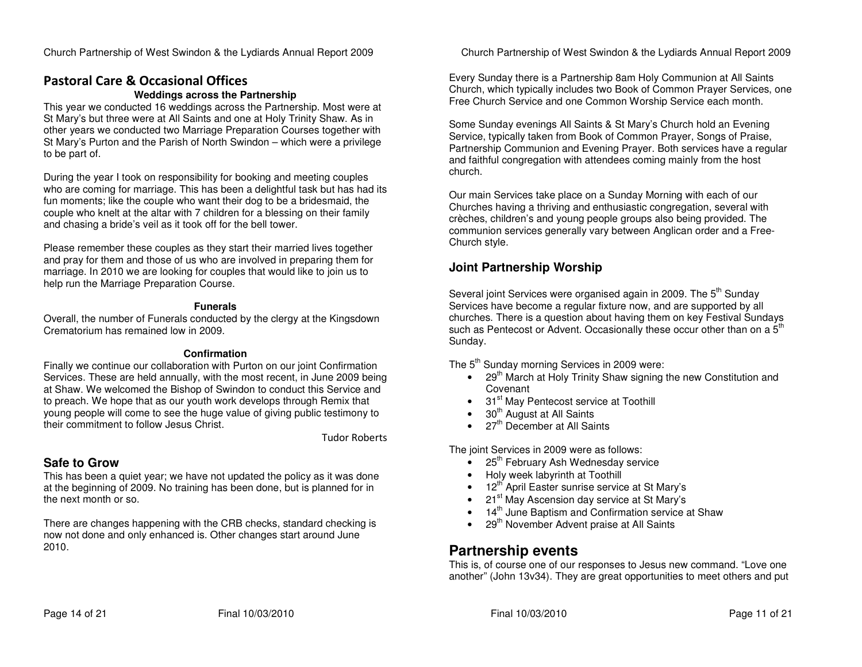# Pastoral Care & Occasional Offices

#### **Weddings across the Partnership**

 This year we conducted 16 weddings across the Partnership. Most were at St Mary's but three were at All Saints and one at Holy Trinity Shaw. As in other years we conducted two Marriage Preparation Courses together with St Mary's Purton and the Parish of North Swindon – which were a privilege to be part of.

During the year I took on responsibility for booking and meeting couples who are coming for marriage. This has been a delightful task but has had its fun moments; like the couple who want their dog to be a bridesmaid, the couple who knelt at the altar with 7 children for a blessing on their family and chasing a bride's veil as it took off for the bell tower.

Please remember these couples as they start their married lives together and pray for them and those of us who are involved in preparing them for marriage. In 2010 we are looking for couples that would like to join us to help run the Marriage Preparation Course.

#### **Funerals**

 Overall, the number of Funerals conducted by the clergy at the Kingsdown Crematorium has remained low in 2009.

#### **Confirmation**

 Finally we continue our collaboration with Purton on our joint Confirmation Services. These are held annually, with the most recent, in June 2009 being at Shaw. We welcomed the Bishop of Swindon to conduct this Service and to preach. We hope that as our youth work develops through Remix that young people will come to see the huge value of giving public testimony to their commitment to follow Jesus Christ.

Tudor Roberts

### **Safe to Grow**

 This has been a quiet year; we have not updated the policy as it was done at the beginning of 2009. No training has been done, but is planned for in the next month or so.

There are changes happening with the CRB checks, standard checking is now not done and only enhanced is. Other changes start around June 2010.

Church Partnership of West Swindon & the Lydiards Annual Report 2009

Every Sunday there is a Partnership 8am Holy Communion at All Saints Church, which typically includes two Book of Common Prayer Services, one Free Church Service and one Common Worship Service each month.

Some Sunday evenings All Saints & St Mary's Church hold an Evening Service, typically taken from Book of Common Prayer, Songs of Praise, Partnership Communion and Evening Prayer. Both services have a regular and faithful congregation with attendees coming mainly from the host church.

Our main Services take place on a Sunday Morning with each of our Churches having a thriving and enthusiastic congregation, several with crèches, children's and young people groups also being provided. The communion services generally vary between Anglican order and a Free-Church style.

### **Joint Partnership Worship**

Several joint Services were organised again in 2009. The 5<sup>th</sup> Sunday Services have become a regular fixture now, and are supported by all churches. There is a question about having them on key Festival Sundays such as Pentecost or Advent. Occasionally these occur other than on a  $5<sup>th</sup>$ Sunday.

The  $5<sup>th</sup>$  Sunday morning Services in 2009 were:

- 29<sup>th</sup> March at Holy Trinity Shaw signing the new Constitution and Covenant
- 31<sup>st</sup> May Pentecost service at Toothill
- $\bullet$  30<sup>th</sup> August at All Saints
- $27<sup>th</sup>$  December at All Saints

The joint Services in 2009 were as follows:

- 25<sup>th</sup> February Ash Wednesday service
- Holy week labyrinth at Toothill
- $\bullet$  12<sup>th</sup> April Easter sunrise service at St Mary's
- 21<sup>st</sup> May Ascension day service at St Mary's
- 14<sup>th</sup> June Baptism and Confirmation service at Shaw
- 29<sup>th</sup> November Advent praise at All Saints

# **Partnership events**

 This is, of course one of our responses to Jesus new command. "Love one another" (John 13v34). They are great opportunities to meet others and put